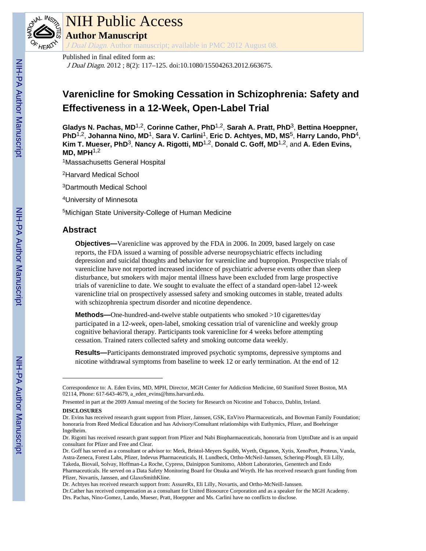

# NIH Public Access

**Author Manuscript**

J Dual Diagn. Author manuscript; available in PMC 2012 August 08.

### Published in final edited form as:

J Dual Diagn. 2012 ; 8(2): 117–125. doi:10.1080/15504263.2012.663675.

# **Varenicline for Smoking Cessation in Schizophrenia: Safety and Effectiveness in a 12-Week, Open-Label Trial**

**Gladys N. Pachas, MD**1,2, **Corinne Cather, PhD**1,2, **Sarah A. Pratt, PhD**3, **Bettina Hoeppner, PhD**1,2, **Johanna Nino, MD**1, **Sara V. Carlini**1, **Eric D. Achtyes, MD, MS**5, **Harry Lando, PhD**4, **Kim T. Mueser, PhD**3, **Nancy A. Rigotti, MD**1,2, **Donald C. Goff, MD**1,2, and **A. Eden Evins, MD, MPH**1,2

<sup>1</sup>Massachusetts General Hospital

<sup>2</sup>Harvard Medical School

<sup>3</sup>Dartmouth Medical School

<sup>4</sup>University of Minnesota

<sup>5</sup>Michigan State University-College of Human Medicine

# **Abstract**

**Objectives—**Varenicline was approved by the FDA in 2006. In 2009, based largely on case reports, the FDA issued a warning of possible adverse neuropsychiatric effects including depression and suicidal thoughts and behavior for varenicline and bupropion. Prospective trials of varenicline have not reported increased incidence of psychiatric adverse events other than sleep disturbance, but smokers with major mental illness have been excluded from large prospective trials of varenicline to date. We sought to evaluate the effect of a standard open-label 12-week varenicline trial on prospectively assessed safety and smoking outcomes in stable, treated adults with schizophrenia spectrum disorder and nicotine dependence.

**Methods—**One-hundred-and-twelve stable outpatients who smoked >10 cigarettes/day participated in a 12-week, open-label, smoking cessation trial of varenicline and weekly group cognitive behavioral therapy. Participants took varenicline for 4 weeks before attempting cessation. Trained raters collected safety and smoking outcome data weekly.

**Results—**Participants demonstrated improved psychotic symptoms, depressive symptoms and nicotine withdrawal symptoms from baseline to week 12 or early termination. At the end of 12

Dr. Achtyes has received research support from: AssureRx, Eli Lilly, Novartis, and Ortho-McNeill-Janssen.

Correspondence to: A. Eden Evins, MD, MPH, Director, MGH Center for Addiction Medicine, 60 Staniford Street Boston, MA 02114, Phone: 617-643-4679, a\_eden\_evins@hms.harvard.edu.

Presented in part at the 2009 Annual meeting of the Society for Research on Nicotine and Tobacco, Dublin, Ireland.

**DISCLOSURES**

Dr. Evins has received research grant support from Pfizer, Janssen, GSK, EnVivo Pharmaceuticals, and Bowman Family Foundation; honoraria from Reed Medical Education and has Advisory/Consultant relationships with Euthymics, Pfizer, and Boehringer Ingelheim.

Dr. Rigotti has received research grant support from Pfizer and Nabi Biopharmaceuticals, honoraria from UptoDate and is an unpaid consultant for Pfizer and Free and Clear.

Dr. Goff has served as a consultant or advisor to: Merk, Bristol-Meyers Squibb, Wyeth, Organon, Xytis, XenoPort, Proteus, Vanda, Astra-Zeneca, Forest Labs, Pfizer, Indevus Pharmaceuticals, H. Lundbeck, Ortho-McNeil-Janssen, Schering-Plough, Eli Lilly, Takeda, Biovail, Solvay, Hoffman-La Roche, Cypress, Dainippon Sumitomo, Abbott Laboratories, Genentech and Endo

Pharmaceuticals. He served on a Data Safety Monitoring Board for Otsuka and Weyth. He has received research grant funding from Pfizer, Novartis, Janssen, and GlaxoSmithKline.

Dr.Cather has received compensation as a consultant for United Biosource Corporation and as a speaker for the MGH Academy. Drs. Pachas, Nino-Gomez, Lando, Mueser, Pratt, Hoeppner and Ms. Carlini have no conflicts to disclose.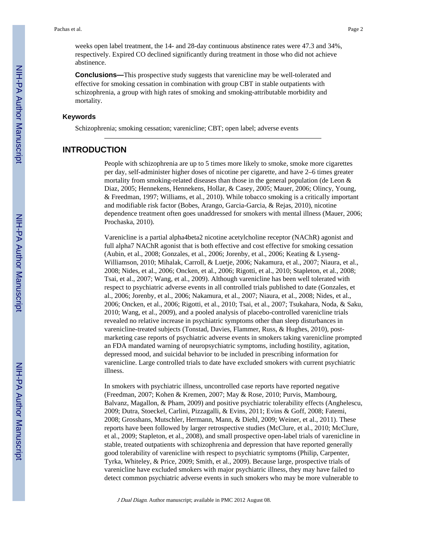weeks open label treatment, the 14- and 28-day continuous abstinence rates were 47.3 and 34%, respectively. Expired CO declined significantly during treatment in those who did not achieve abstinence.

**Conclusions—**This prospective study suggests that varenicline may be well-tolerated and effective for smoking cessation in combination with group CBT in stable outpatients with schizophrenia, a group with high rates of smoking and smoking-attributable morbidity and mortality.

#### **Keywords**

Schizophrenia; smoking cessation; varenicline; CBT; open label; adverse events

# **INTRODUCTION**

People with schizophrenia are up to 5 times more likely to smoke, smoke more cigarettes per day, self-administer higher doses of nicotine per cigarette, and have 2–6 times greater mortality from smoking-related diseases than those in the general population (de Leon & Diaz, 2005; Hennekens, Hennekens, Hollar, & Casey, 2005; Mauer, 2006; Olincy, Young, & Freedman, 1997; Williams, et al., 2010). While tobacco smoking is a critically important and modifiable risk factor (Bobes, Arango, Garcia-Garcia, & Rejas, 2010), nicotine dependence treatment often goes unaddressed for smokers with mental illness (Mauer, 2006; Prochaska, 2010).

Varenicline is a partial alpha4beta2 nicotine acetylcholine receptor (NAChR) agonist and full alpha7 NAChR agonist that is both effective and cost effective for smoking cessation (Aubin, et al., 2008; Gonzales, et al., 2006; Jorenby, et al., 2006; Keating & Lyseng-Williamson, 2010; Mihalak, Carroll, & Luetje, 2006; Nakamura, et al., 2007; Niaura, et al., 2008; Nides, et al., 2006; Oncken, et al., 2006; Rigotti, et al., 2010; Stapleton, et al., 2008; Tsai, et al., 2007; Wang, et al., 2009). Although varenicline has been well tolerated with respect to psychiatric adverse events in all controlled trials published to date (Gonzales, et al., 2006; Jorenby, et al., 2006; Nakamura, et al., 2007; Niaura, et al., 2008; Nides, et al., 2006; Oncken, et al., 2006; Rigotti, et al., 2010; Tsai, et al., 2007; Tsukahara, Noda, & Saku, 2010; Wang, et al., 2009), and a pooled analysis of placebo-controlled varenicline trials revealed no relative increase in psychiatric symptoms other than sleep disturbances in varenicline-treated subjects (Tonstad, Davies, Flammer, Russ, & Hughes, 2010), postmarketing case reports of psychiatric adverse events in smokers taking varenicline prompted an FDA mandated warning of neuropsychiatric symptoms, including hostility, agitation, depressed mood, and suicidal behavior to be included in prescribing information for varenicline. Large controlled trials to date have excluded smokers with current psychiatric illness.

In smokers with psychiatric illness, uncontrolled case reports have reported negative (Freedman, 2007; Kohen & Kremen, 2007; May & Rose, 2010; Purvis, Mambourg, Balvanz, Magallon, & Pham, 2009) and positive psychiatric tolerability effects (Anghelescu, 2009; Dutra, Stoeckel, Carlini, Pizzagalli, & Evins, 2011; Evins & Goff, 2008; Fatemi, 2008; Grosshans, Mutschler, Hermann, Mann, & Diehl, 2009; Weiner, et al., 2011). These reports have been followed by larger retrospective studies (McClure, et al., 2010; McClure, et al., 2009; Stapleton, et al., 2008), and small prospective open-label trials of varenicline in stable, treated outpatients with schizophrenia and depression that have reported generally good tolerability of varenicline with respect to psychiatric symptoms (Philip, Carpenter, Tyrka, Whiteley, & Price, 2009; Smith, et al., 2009). Because large, prospective trials of varenicline have excluded smokers with major psychiatric illness, they may have failed to detect common psychiatric adverse events in such smokers who may be more vulnerable to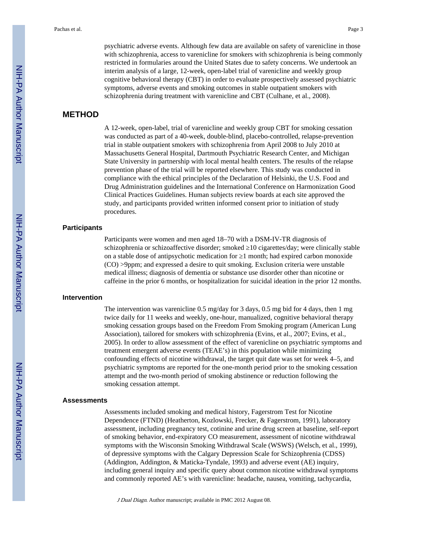psychiatric adverse events. Although few data are available on safety of varenicline in those with schizophrenia, access to varenicline for smokers with schizophrenia is being commonly restricted in formularies around the United States due to safety concerns. We undertook an interim analysis of a large, 12-week, open-label trial of varenicline and weekly group cognitive behavioral therapy (CBT) in order to evaluate prospectively assessed psychiatric symptoms, adverse events and smoking outcomes in stable outpatient smokers with schizophrenia during treatment with varenicline and CBT (Culhane, et al., 2008).

# **METHOD**

A 12-week, open-label, trial of varenicline and weekly group CBT for smoking cessation was conducted as part of a 40-week, double-blind, placebo-controlled, relapse-prevention trial in stable outpatient smokers with schizophrenia from April 2008 to July 2010 at Massachusetts General Hospital, Dartmouth Psychiatric Research Center, and Michigan State University in partnership with local mental health centers. The results of the relapse prevention phase of the trial will be reported elsewhere. This study was conducted in compliance with the ethical principles of the Declaration of Helsinki, the U.S. Food and Drug Administration guidelines and the International Conference on Harmonization Good Clinical Practices Guidelines. Human subjects review boards at each site approved the study, and participants provided written informed consent prior to initiation of study procedures.

#### **Participants**

Participants were women and men aged 18–70 with a DSM-IV-TR diagnosis of schizophrenia or schizoaffective disorder; smoked  $\overline{10}$  cigarettes/day; were clinically stable on a stable dose of antipsychotic medication for 1 month; had expired carbon monoxide (CO) >9ppm; and expressed a desire to quit smoking. Exclusion criteria were unstable medical illness; diagnosis of dementia or substance use disorder other than nicotine or caffeine in the prior 6 months, or hospitalization for suicidal ideation in the prior 12 months.

#### **Intervention**

The intervention was varenicline 0.5 mg/day for 3 days, 0.5 mg bid for 4 days, then 1 mg twice daily for 11 weeks and weekly, one-hour, manualized, cognitive behavioral therapy smoking cessation groups based on the Freedom From Smoking program (American Lung Association), tailored for smokers with schizophrenia (Evins, et al., 2007; Evins, et al., 2005). In order to allow assessment of the effect of varenicline on psychiatric symptoms and treatment emergent adverse events (TEAE's) in this population while minimizing confounding effects of nicotine withdrawal, the target quit date was set for week 4–5, and psychiatric symptoms are reported for the one-month period prior to the smoking cessation attempt and the two-month period of smoking abstinence or reduction following the smoking cessation attempt.

#### **Assessments**

Assessments included smoking and medical history, Fagerstrom Test for Nicotine Dependence (FTND) (Heatherton, Kozlowski, Frecker, & Fagerstrom, 1991), laboratory assessment, including pregnancy test, cotinine and urine drug screen at baseline, self-report of smoking behavior, end-expiratory CO measurement, assessment of nicotine withdrawal symptoms with the Wisconsin Smoking Withdrawal Scale (WSWS) (Welsch, et al., 1999), of depressive symptoms with the Calgary Depression Scale for Schizophrenia (CDSS) (Addington, Addington, & Maticka-Tyndale, 1993) and adverse event (AE) inquiry, including general inquiry and specific query about common nicotine withdrawal symptoms and commonly reported AE's with varenicline: headache, nausea, vomiting, tachycardia,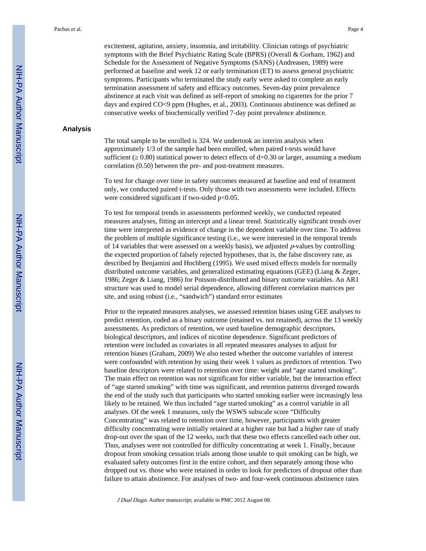excitement, agitation, anxiety, insomnia, and irritability. Clinician ratings of psychiatric symptoms with the Brief Psychiatric Rating Scale (BPRS) (Overall & Gorham, 1962) and Schedule for the Assessment of Negative Symptoms (SANS) (Andreasen, 1989) were performed at baseline and week 12 or early termination (ET) to assess general psychiatric symptoms. Participants who terminated the study early were asked to complete an early termination assessment of safety and efficacy outcomes. Seven-day point prevalence abstinence at each visit was defined as self-report of smoking no cigarettes for the prior 7 days and expired CO<9 ppm (Hughes, et al., 2003). Continuous abstinence was defined as consecutive weeks of biochemically verified 7-day point prevalence abstinence.

#### **Analysis**

The total sample to be enrolled is 324. We undertook an interim analysis when approximately 1/3 of the sample had been enrolled, when paired t-tests would have sufficient ( $0.80$ ) statistical power to detect effects of d=0.30 or larger, assuming a medium correlation (0.50) between the pre- and post-treatment measures.

To test for change over time in safety outcomes measured at baseline and end of treatment only, we conducted paired t-tests. Only those with two assessments were included. Effects were considered significant if two-sided p<0.05.

To test for temporal trends in assessments performed weekly, we conducted repeated measures analyses, fitting an intercept and a linear trend. Statistically significant trends over time were interpreted as evidence of change in the dependent variable over time. To address the problem of multiple significance testing (i.e., we were interested in the temporal trends of 14 variables that were assessed on a weekly basis), we adjusted  $p$ -values by controlling the expected proportion of falsely rejected hypotheses, that is, the false discovery rate, as described by Benjamini and Hochberg (1995). We used mixed effects models for normally distributed outcome variables, and generalized estimating equations (GEE) (Liang & Zeger, 1986; Zeger & Liang, 1986) for Poisson-distributed and binary outcome variables. An AR1 structure was used to model serial dependence, allowing different correlation matrices per site, and using robust (i.e., "sandwich") standard error estimates

Prior to the repeated measures analyses, we assessed retention biases using GEE analyses to predict retention, coded as a binary outcome (retained vs. not retained), across the 13 weekly assessments. As predictors of retention, we used baseline demographic descriptors, biological descriptors, and indices of nicotine dependence. Significant predictors of retention were included as covariates in all repeated measures analyses to adjust for retention biases (Graham, 2009) We also tested whether the outcome variables of interest were confounded with retention by using their week 1 values as predictors of retention. Two baseline descriptors were related to retention over time: weight and "age started smoking". The main effect on retention was not significant for either variable, but the interaction effect of "age started smoking" with time was significant, and retention patterns diverged towards the end of the study such that participants who started smoking earlier were increasingly less likely to be retained. We thus included "age started smoking" as a control variable in all analyses. Of the week 1 measures, only the WSWS subscale score "Difficulty Concentrating" was related to retention over time, however, participants with greater difficulty concentrating were initially retained at a higher rate but had a higher rate of study drop-out over the span of the 12 weeks, such that these two effects cancelled each other out. Thus, analyses were not controlled for difficulty concentrating at week 1. Finally, because dropout from smoking cessation trials among those unable to quit smoking can be high, we evaluated safety outcomes first in the entire cohort, and then separately among those who dropped out vs. those who were retained in order to look for predictors of dropout other than failure to attain abstinence. For analyses of two- and four-week continuous abstinence rates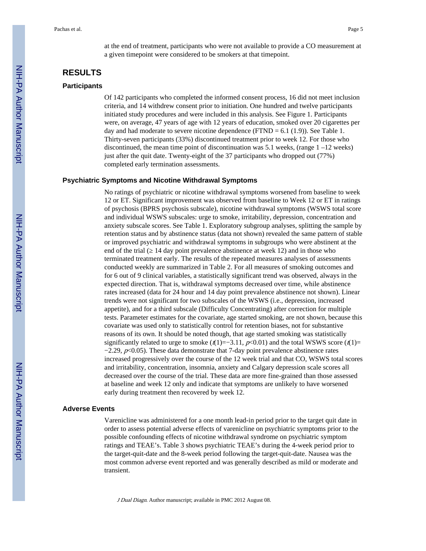at the end of treatment, participants who were not available to provide a CO measurement at a given timepoint were considered to be smokers at that timepoint.

# **RESULTS**

#### **Participants**

Of 142 participants who completed the informed consent process, 16 did not meet inclusion criteria, and 14 withdrew consent prior to initiation. One hundred and twelve participants initiated study procedures and were included in this analysis. See Figure 1. Participants were, on average, 47 years of age with 12 years of education, smoked over 20 cigarettes per day and had moderate to severe nicotine dependence (FTND =  $6.1$  (1.9)). See Table 1. Thirty-seven participants (33%) discontinued treatment prior to week 12. For those who discontinued, the mean time point of discontinuation was 5.1 weeks, (range  $1 - 12$  weeks) just after the quit date. Twenty-eight of the 37 participants who dropped out (77%) completed early termination assessments.

#### **Psychiatric Symptoms and Nicotine Withdrawal Symptoms**

No ratings of psychiatric or nicotine withdrawal symptoms worsened from baseline to week 12 or ET. Significant improvement was observed from baseline to Week 12 or ET in ratings of psychosis (BPRS psychosis subscale), nicotine withdrawal symptoms (WSWS total score and individual WSWS subscales: urge to smoke, irritability, depression, concentration and anxiety subscale scores. See Table 1. Exploratory subgroup analyses, splitting the sample by retention status and by abstinence status (data not shown) revealed the same pattern of stable or improved psychiatric and withdrawal symptoms in subgroups who were abstinent at the end of the trial ( $\frac{14 \text{ day point prevalence}}{2}$  14 day point prevalence abstinence at week 12) and in those who terminated treatment early. The results of the repeated measures analyses of assessments conducted weekly are summarized in Table 2. For all measures of smoking outcomes and for 6 out of 9 clinical variables, a statistically significant trend was observed, always in the expected direction. That is, withdrawal symptoms decreased over time, while abstinence rates increased (data for 24 hour and 14 day point prevalence abstinence not shown). Linear trends were not significant for two subscales of the WSWS (i.e., depression, increased appetite), and for a third subscale (Difficulty Concentrating) after correction for multiple tests. Parameter estimates for the covariate, age started smoking, are not shown, because this covariate was used only to statistically control for retention biases, not for substantive reasons of its own. It should be noted though, that age started smoking was statistically significantly related to urge to smoke ( $t(1)=-3.11$ ,  $p<0.01$ ) and the total WSWS score ( $t(1)=$  $-2.29$ ,  $p<0.05$ ). These data demonstrate that 7-day point prevalence abstinence rates increased progressively over the course of the 12 week trial and that CO, WSWS total scores and irritability, concentration, insomnia, anxiety and Calgary depression scale scores all decreased over the course of the trial. These data are more fine-grained than those assessed at baseline and week 12 only and indicate that symptoms are unlikely to have worsened early during treatment then recovered by week 12.

#### **Adverse Events**

Varenicline was administered for a one month lead-in period prior to the target quit date in order to assess potential adverse effects of varenicline on psychiatric symptoms prior to the possible confounding effects of nicotine withdrawal syndrome on psychiatric symptom ratings and TEAE's. Table 3 shows psychiatric TEAE's during the 4-week period prior to the target-quit-date and the 8-week period following the target-quit-date. Nausea was the most common adverse event reported and was generally described as mild or moderate and transient.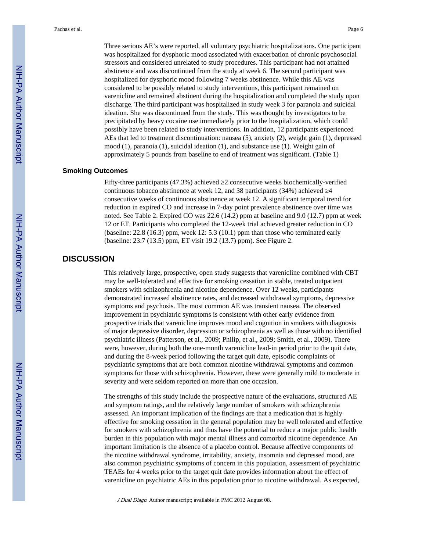Three serious AE's were reported, all voluntary psychiatric hospitalizations. One participant was hospitalized for dysphoric mood associated with exacerbation of chronic psychosocial stressors and considered unrelated to study procedures. This participant had not attained abstinence and was discontinued from the study at week 6. The second participant was hospitalized for dysphoric mood following 7 weeks abstinence. While this AE was considered to be possibly related to study interventions, this participant remained on varenicline and remained abstinent during the hospitalization and completed the study upon discharge. The third participant was hospitalized in study week 3 for paranoia and suicidal ideation. She was discontinued from the study. This was thought by investigators to be precipitated by heavy cocaine use immediately prior to the hospitalization, which could possibly have been related to study interventions. In addition, 12 participants experienced AEs that led to treatment discontinuation: nausea (5), anxiety (2), weight gain (1), depressed mood (1), paranoia (1), suicidal ideation (1), and substance use (1). Weight gain of approximately 5 pounds from baseline to end of treatment was significant. (Table 1)

#### **Smoking Outcomes**

Fifty-three participants (47.3%) achieved ≥2 consecutive weeks biochemically-verified continuous tobacco abstinence at week 12, and 38 participants  $(34%)$  achieved  $\overline{4}$ consecutive weeks of continuous abstinence at week 12. A significant temporal trend for reduction in expired CO and increase in 7-day point prevalence abstinence over time was noted. See Table 2. Expired CO was 22.6 (14.2) ppm at baseline and 9.0 (12.7) ppm at week 12 or ET. Participants who completed the 12-week trial achieved greater reduction in CO (baseline: 22.8 (16.3) ppm, week 12: 5.3 (10.1) ppm than those who terminated early (baseline: 23.7 (13.5) ppm, ET visit 19.2 (13.7) ppm). See Figure 2.

#### **DISCUSSION**

This relatively large, prospective, open study suggests that varenicline combined with CBT may be well-tolerated and effective for smoking cessation in stable, treated outpatient smokers with schizophrenia and nicotine dependence. Over 12 weeks, participants demonstrated increased abstinence rates, and decreased withdrawal symptoms, depressive symptoms and psychosis. The most common AE was transient nausea. The observed improvement in psychiatric symptoms is consistent with other early evidence from prospective trials that varenicline improves mood and cognition in smokers with diagnosis of major depressive disorder, depression or schizophrenia as well as those with no identified psychiatric illness (Patterson, et al., 2009; Philip, et al., 2009; Smith, et al., 2009). There were, however, during both the one-month varenicline lead-in period prior to the quit date, and during the 8-week period following the target quit date, episodic complaints of psychiatric symptoms that are both common nicotine withdrawal symptoms and common symptoms for those with schizophrenia. However, these were generally mild to moderate in severity and were seldom reported on more than one occasion.

The strengths of this study include the prospective nature of the evaluations, structured AE and symptom ratings, and the relatively large number of smokers with schizophrenia assessed. An important implication of the findings are that a medication that is highly effective for smoking cessation in the general population may be well tolerated and effective for smokers with schizophrenia and thus have the potential to reduce a major public health burden in this population with major mental illness and comorbid nicotine dependence. An important limitation is the absence of a placebo control. Because affective components of the nicotine withdrawal syndrome, irritability, anxiety, insomnia and depressed mood, are also common psychiatric symptoms of concern in this population, assessment of psychiatric TEAEs for 4 weeks prior to the target quit date provides information about the effect of varenicline on psychiatric AEs in this population prior to nicotine withdrawal. As expected,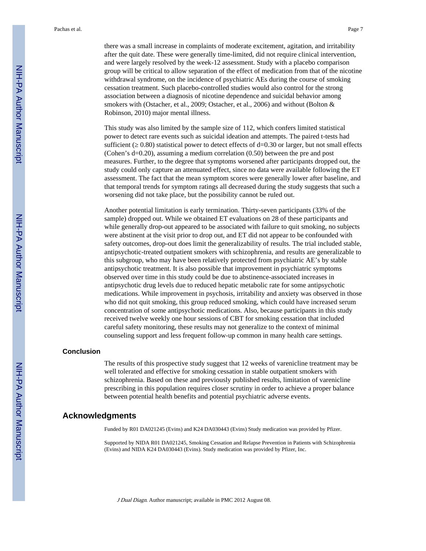there was a small increase in complaints of moderate excitement, agitation, and irritability after the quit date. These were generally time-limited, did not require clinical intervention, and were largely resolved by the week-12 assessment. Study with a placebo comparison group will be critical to allow separation of the effect of medication from that of the nicotine withdrawal syndrome, on the incidence of psychiatric AEs during the course of smoking cessation treatment. Such placebo-controlled studies would also control for the strong association between a diagnosis of nicotine dependence and suicidal behavior among smokers with (Ostacher, et al., 2009; Ostacher, et al., 2006) and without (Bolton & Robinson, 2010) major mental illness.

This study was also limited by the sample size of 112, which confers limited statistical power to detect rare events such as suicidal ideation and attempts. The paired t-tests had sufficient  $(0.80)$  statistical power to detect effects of d=0.30 or larger, but not small effects (Cohen's d=0.20), assuming a medium correlation (0.50) between the pre and post measures. Further, to the degree that symptoms worsened after participants dropped out, the study could only capture an attenuated effect, since no data were available following the ET assessment. The fact that the mean symptom scores were generally lower after baseline, and that temporal trends for symptom ratings all decreased during the study suggests that such a worsening did not take place, but the possibility cannot be ruled out.

Another potential limitation is early termination. Thirty-seven participants (33% of the sample) dropped out. While we obtained ET evaluations on 28 of these participants and while generally drop-out appeared to be associated with failure to quit smoking, no subjects were abstinent at the visit prior to drop out, and ET did not appear to be confounded with safety outcomes, drop-out does limit the generalizability of results. The trial included stable, antipsychotic-treated outpatient smokers with schizophrenia, and results are generalizable to this subgroup, who may have been relatively protected from psychiatric AE's by stable antipsychotic treatment. It is also possible that improvement in psychiatric symptoms observed over time in this study could be due to abstinence-associated increases in antipsychotic drug levels due to reduced hepatic metabolic rate for some antipsychotic medications. While improvement in psychosis, irritability and anxiety was observed in those who did not quit smoking, this group reduced smoking, which could have increased serum concentration of some antipsychotic medications. Also, because participants in this study received twelve weekly one hour sessions of CBT for smoking cessation that included careful safety monitoring, these results may not generalize to the context of minimal counseling support and less frequent follow-up common in many health care settings.

#### **Conclusion**

The results of this prospective study suggest that 12 weeks of varenicline treatment may be well tolerated and effective for smoking cessation in stable outpatient smokers with schizophrenia. Based on these and previously published results, limitation of varenicline prescribing in this population requires closer scrutiny in order to achieve a proper balance between potential health benefits and potential psychiatric adverse events.

#### **Acknowledgments**

Funded by R01 DA021245 (Evins) and K24 DA030443 (Evins) Study medication was provided by Pfizer.

Supported by NIDA R01 DA021245, Smoking Cessation and Relapse Prevention in Patients with Schizophrenia (Evins) and NIDA K24 DA030443 (Evins). Study medication was provided by Pfizer, Inc.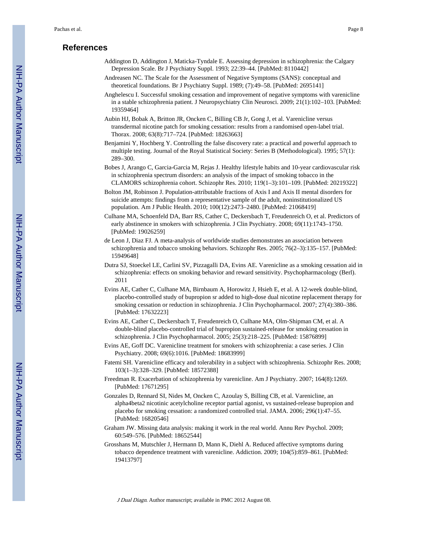#### **References**

- Addington D, Addington J, Maticka-Tyndale E. Assessing depression in schizophrenia: the Calgary Depression Scale. Br J Psychiatry Suppl. 1993; 22:39–44. [PubMed: 8110442]
- Andreasen NC. The Scale for the Assessment of Negative Symptoms (SANS): conceptual and theoretical foundations. Br J Psychiatry Suppl. 1989; (7):49–58. [PubMed: 2695141]
- Anghelescu I. Successful smoking cessation and improvement of negative symptoms with varenicline in a stable schizophrenia patient. J Neuropsychiatry Clin Neurosci. 2009; 21(1):102–103. [PubMed: 19359464]
- Aubin HJ, Bobak A, Britton JR, Oncken C, Billing CB Jr, Gong J, et al. Varenicline versus transdermal nicotine patch for smoking cessation: results from a randomised open-label trial. Thorax. 2008; 63(8):717–724. [PubMed: 18263663]
- Benjamini Y, Hochberg Y. Controlling the false discovery rate: a practical and powerful approach to multiple testing. Journal of the Royal Statistical Society: Series B (Methodological). 1995; 57(1): 289–300.
- Bobes J, Arango C, Garcia-Garcia M, Rejas J. Healthy lifestyle habits and 10-year cardiovascular risk in schizophrenia spectrum disorders: an analysis of the impact of smoking tobacco in the CLAMORS schizophrenia cohort. Schizophr Res. 2010; 119(1–3):101–109. [PubMed: 20219322]
- Bolton JM, Robinson J. Population-attributable fractions of Axis I and Axis II mental disorders for suicide attempts: findings from a representative sample of the adult, noninstitutionalized US population. Am J Public Health. 2010; 100(12):2473–2480. [PubMed: 21068419]
- Culhane MA, Schoenfeld DA, Barr RS, Cather C, Deckersbach T, Freudenreich O, et al. Predictors of early abstinence in smokers with schizophrenia. J Clin Psychiatry. 2008; 69(11):1743–1750. [PubMed: 19026259]
- de Leon J, Diaz FJ. A meta-analysis of worldwide studies demonstrates an association between schizophrenia and tobacco smoking behaviors. Schizophr Res. 2005; 76(2–3):135–157. [PubMed: 15949648]
- Dutra SJ, Stoeckel LE, Carlini SV, Pizzagalli DA, Evins AE. Varenicline as a smoking cessation aid in schizophrenia: effects on smoking behavior and reward sensitivity. Psychopharmacology (Berl). 2011
- Evins AE, Cather C, Culhane MA, Birnbaum A, Horowitz J, Hsieh E, et al. A 12-week double-blind, placebo-controlled study of bupropion sr added to high-dose dual nicotine replacement therapy for smoking cessation or reduction in schizophrenia. J Clin Psychopharmacol. 2007; 27(4):380–386. [PubMed: 17632223]
- Evins AE, Cather C, Deckersbach T, Freudenreich O, Culhane MA, Olm-Shipman CM, et al. A double-blind placebo-controlled trial of bupropion sustained-release for smoking cessation in schizophrenia. J Clin Psychopharmacol. 2005; 25(3):218–225. [PubMed: 15876899]
- Evins AE, Goff DC. Varenicline treatment for smokers with schizophrenia: a case series. J Clin Psychiatry. 2008; 69(6):1016. [PubMed: 18683999]
- Fatemi SH. Varenicline efficacy and tolerability in a subject with schizophrenia. Schizophr Res. 2008; 103(1–3):328–329. [PubMed: 18572388]
- Freedman R. Exacerbation of schizophrenia by varenicline. Am J Psychiatry. 2007; 164(8):1269. [PubMed: 17671295]
- Gonzales D, Rennard SI, Nides M, Oncken C, Azoulay S, Billing CB, et al. Varenicline, an alpha4beta2 nicotinic acetylcholine receptor partial agonist, vs sustained-release bupropion and placebo for smoking cessation: a randomized controlled trial. JAMA. 2006; 296(1):47–55. [PubMed: 16820546]
- Graham JW. Missing data analysis: making it work in the real world. Annu Rev Psychol. 2009; 60:549–576. [PubMed: 18652544]
- Grosshans M, Mutschler J, Hermann D, Mann K, Diehl A. Reduced affective symptoms during tobacco dependence treatment with varenicline. Addiction. 2009; 104(5):859–861. [PubMed: 19413797]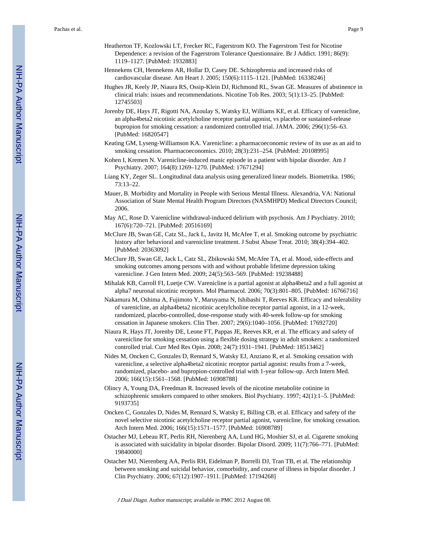- Heatherton TF, Kozlowski LT, Frecker RC, Fagerstrom KO. The Fagerstrom Test for Nicotine Dependence: a revision of the Fagerstrom Tolerance Questionnaire. Br J Addict. 1991; 86(9): 1119–1127. [PubMed: 1932883]
- Hennekens CH, Hennekens AR, Hollar D, Casey DE. Schizophrenia and increased risks of cardiovascular disease. Am Heart J. 2005; 150(6):1115–1121. [PubMed: 16338246]
- Hughes JR, Keely JP, Niaura RS, Ossip-Klein DJ, Richmond RL, Swan GE. Measures of abstinence in clinical trials: issues and recommendations. Nicotine Tob Res. 2003; 5(1):13–25. [PubMed: 12745503]
- Jorenby DE, Hays JT, Rigotti NA, Azoulay S, Watsky EJ, Williams KE, et al. Efficacy of varenicline, an alpha4beta2 nicotinic acetylcholine receptor partial agonist, vs placebo or sustained-release bupropion for smoking cessation: a randomized controlled trial. JAMA. 2006; 296(1):56–63. [PubMed: 16820547]
- Keating GM, Lyseng-Williamson KA. Varenicline: a pharmacoeconomic review of its use as an aid to smoking cessation. Pharmacoeconomics. 2010; 28(3):231–254. [PubMed: 20108995]
- Kohen I, Kremen N. Varenicline-induced manic episode in a patient with bipolar disorder. Am J Psychiatry. 2007; 164(8):1269–1270. [PubMed: 17671294]
- Liang KY, Zeger SL. Longitudinal data analysis using generalized linear models. Biometrika. 1986; 73:13–22.
- Mauer, B. Morbidity and Mortality in People with Serious Mental Illness. Alexandria, VA: National Association of State Mental Health Program Directors (NASMHPD) Medical Directors Council; 2006.
- May AC, Rose D. Varenicline withdrawal-induced delirium with psychosis. Am J Psychiatry. 2010; 167(6):720–721. [PubMed: 20516169]
- McClure JB, Swan GE, Catz SL, Jack L, Javitz H, McAfee T, et al. Smoking outcome by psychiatric history after behavioral and varenicline treatment. J Subst Abuse Treat. 2010; 38(4):394–402. [PubMed: 20363092]
- McClure JB, Swan GE, Jack L, Catz SL, Zbikowski SM, McAfee TA, et al. Mood, side-effects and smoking outcomes among persons with and without probable lifetime depression taking varenicline. J Gen Intern Med. 2009; 24(5):563–569. [PubMed: 19238488]
- Mihalak KB, Carroll FI, Luetje CW. Varenicline is a partial agonist at alpha4beta2 and a full agonist at alpha7 neuronal nicotinic receptors. Mol Pharmacol. 2006; 70(3):801–805. [PubMed: 16766716]
- Nakamura M, Oshima A, Fujimoto Y, Maruyama N, Ishibashi T, Reeves KR. Efficacy and tolerability of varenicline, an alpha4beta2 nicotinic acetylcholine receptor partial agonist, in a 12-week, randomized, placebo-controlled, dose-response study with 40-week follow-up for smoking cessation in Japanese smokers. Clin Ther. 2007; 29(6):1040–1056. [PubMed: 17692720]
- Niaura R, Hays JT, Jorenby DE, Leone FT, Pappas JE, Reeves KR, et al. The efficacy and safety of varenicline for smoking cessation using a flexible dosing strategy in adult smokers: a randomized controlled trial. Curr Med Res Opin. 2008; 24(7):1931–1941. [PubMed: 18513462]
- Nides M, Oncken C, Gonzales D, Rennard S, Watsky EJ, Anziano R, et al. Smoking cessation with varenicline, a selective alpha4beta2 nicotinic receptor partial agonist: results from a 7-week, randomized, placebo- and bupropion-controlled trial with 1-year follow-up. Arch Intern Med. 2006; 166(15):1561–1568. [PubMed: 16908788]
- Olincy A, Young DA, Freedman R. Increased levels of the nicotine metabolite cotinine in schizophrenic smokers compared to other smokers. Biol Psychiatry. 1997; 42(1):1–5. [PubMed: 9193735]
- Oncken C, Gonzales D, Nides M, Rennard S, Watsky E, Billing CB, et al. Efficacy and safety of the novel selective nicotinic acetylcholine receptor partial agonist, varenicline, for smoking cessation. Arch Intern Med. 2006; 166(15):1571–1577. [PubMed: 16908789]
- Ostacher MJ, Lebeau RT, Perlis RH, Nierenberg AA, Lund HG, Moshier SJ, et al. Cigarette smoking is associated with suicidality in bipolar disorder. Bipolar Disord. 2009; 11(7):766–771. [PubMed: 19840000]
- Ostacher MJ, Nierenberg AA, Perlis RH, Eidelman P, Borrelli DJ, Tran TB, et al. The relationship between smoking and suicidal behavior, comorbidity, and course of illness in bipolar disorder. J Clin Psychiatry. 2006; 67(12):1907–1911. [PubMed: 17194268]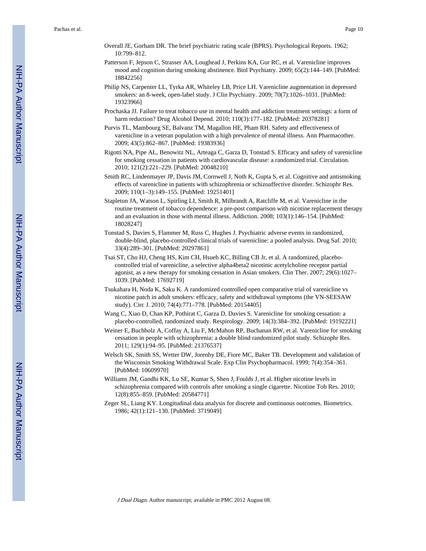- Overall JE, Gorham DR. The brief psychiatric rating scale (BPRS). Psychological Reports. 1962; 10:799–812.
- Patterson F, Jepson C, Strasser AA, Loughead J, Perkins KA, Gur RC, et al. Varenicline improves mood and cognition during smoking abstinence. Biol Psychiatry. 2009; 65(2):144–149. [PubMed: 18842256]
- Philip NS, Carpenter LL, Tyrka AR, Whiteley LB, Price LH. Varenicline augmentation in depressed smokers: an 8-week, open-label study. J Clin Psychiatry. 2009; 70(7):1026–1031. [PubMed: 19323966]
- Prochaska JJ. Failure to treat tobacco use in mental health and addiction treatment settings: a form of harm reduction? Drug Alcohol Depend. 2010; 110(3):177–182. [PubMed: 20378281]
- Purvis TL, Mambourg SE, Balvanz TM, Magallon HE, Pham RH. Safety and effectiveness of varenicline in a veteran population with a high prevalence of mental illness. Ann Pharmacother. 2009; 43(5):862–867. [PubMed: 19383936]
- Rigotti NA, Pipe AL, Benowitz NL, Arteaga C, Garza D, Tonstad S. Efficacy and safety of varenicline for smoking cessation in patients with cardiovascular disease: a randomized trial. Circulation. 2010; 121(2):221–229. [PubMed: 20048210]
- Smith RC, Lindenmayer JP, Davis JM, Cornwell J, Noth K, Gupta S, et al. Cognitive and antismoking effects of varenicline in patients with schizophrenia or schizoaffective disorder. Schizophr Res. 2009; 110(1–3):149–155. [PubMed: 19251401]
- Stapleton JA, Watson L, Spirling LI, Smith R, Milbrandt A, Ratcliffe M, et al. Varenicline in the routine treatment of tobacco dependence: a pre-post comparison with nicotine replacement therapy and an evaluation in those with mental illness. Addiction. 2008; 103(1):146–154. [PubMed: 18028247]
- Tonstad S, Davies S, Flammer M, Russ C, Hughes J. Psychiatric adverse events in randomized, double-blind, placebo-controlled clinical trials of varenicline: a pooled analysis. Drug Saf. 2010; 33(4):289–301. [PubMed: 20297861]
- Tsai ST, Cho HJ, Cheng HS, Kim CH, Hsueh KC, Billing CB Jr, et al. A randomized, placebocontrolled trial of varenicline, a selective alpha4beta2 nicotinic acetylcholine receptor partial agonist, as a new therapy for smoking cessation in Asian smokers. Clin Ther. 2007; 29(6):1027– 1039. [PubMed: 17692719]
- Tsukahara H, Noda K, Saku K. A randomized controlled open comparative trial of varenicline vs nicotine patch in adult smokers: efficacy, safety and withdrawal symptoms (the VN-SEESAW study). Circ J. 2010; 74(4):771–778. [PubMed: 20154405]
- Wang C, Xiao D, Chan KP, Pothirat C, Garza D, Davies S. Varenicline for smoking cessation: a placebo-controlled, randomized study. Respirology. 2009; 14(3):384–392. [PubMed: 19192221]
- Weiner E, Buchholz A, Coffay A, Liu F, McMahon RP, Buchanan RW, et al. Varenicline for smoking cessation in people with schizophrenia: a double blind randomized pilot study. Schizophr Res. 2011; 129(1):94–95. [PubMed: 21376537]
- Welsch SK, Smith SS, Wetter DW, Jorenby DE, Fiore MC, Baker TB. Development and validation of the Wisconsin Smoking Withdrawal Scale. Exp Clin Psychopharmacol. 1999; 7(4):354–361. [PubMed: 10609970]
- Williams JM, Gandhi KK, Lu SE, Kumar S, Shen J, Foulds J, et al. Higher nicotine levels in schizophrenia compared with controls after smoking a single cigarette. Nicotine Tob Res. 2010; 12(8):855–859. [PubMed: 20584771]
- Zeger SL, Liang KY. Longitudinal data analysis for discrete and continuous outcomes. Biometrics. 1986; 42(1):121–130. [PubMed: 3719049]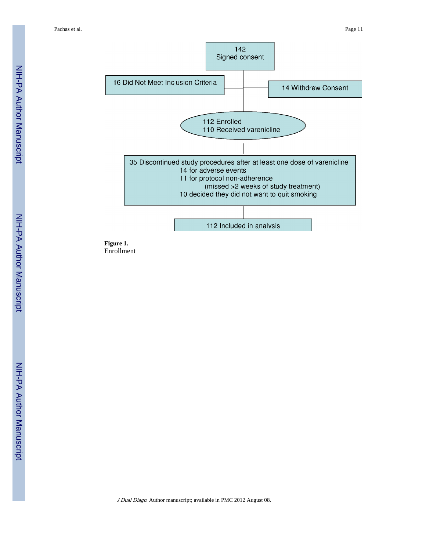

**Figure 1.** Enrollment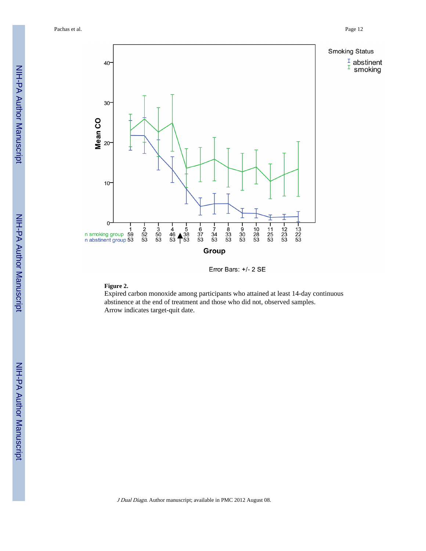Pachas et al. Page 12



Error Bars: +/- 2 SE

#### **Figure 2.**

Expired carbon monoxide among participants who attained at least 14-day continuous abstinence at the end of treatment and those who did not, observed samples. Arrow indicates target-quit date.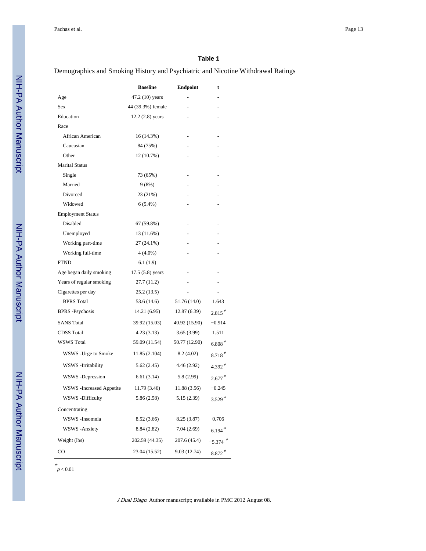#### **Table 1**

Demographics and Smoking History and Psychiatric and Nicotine Withdrawal Ratings

|                                  | <b>Baseline</b>   | <b>Endpoint</b> | t          |
|----------------------------------|-------------------|-----------------|------------|
| Age                              | 47.2 (10) years   |                 |            |
| Sex                              | 44 (39.3%) female |                 |            |
| Education                        | 12.2 (2.8) years  |                 |            |
| Race                             |                   |                 |            |
| African American                 | 16 (14.3%)        |                 |            |
| Caucasian                        | 84 (75%)          |                 |            |
| Other                            | 12 (10.7%)        |                 |            |
| <b>Marital Status</b>            |                   |                 |            |
| Single                           | 73 (65%)          |                 |            |
| Married                          | 9(8%)             |                 |            |
| Divorced                         | 23 (21%)          |                 |            |
| Widowed                          | $6(5.4\%)$        |                 |            |
| <b>Employment Status</b>         |                   |                 |            |
| Disabled                         | 67 (59.8%)        |                 |            |
| Unemployed                       | 13 (11.6%)        |                 |            |
| Working part-time                | $27(24.1\%)$      |                 |            |
| Working full-time                | $4(4.0\%)$        |                 |            |
| <b>FTND</b>                      | 6.1(1.9)          |                 |            |
| Age began daily smoking          | $17.5(5.8)$ years |                 |            |
| Years of regular smoking         | 27.7 (11.2)       |                 |            |
| Cigarettes per day               | 25.2 (13.5)       |                 |            |
| <b>BPRS</b> Total                | 53.6 (14.6)       | 51.76 (14.0)    | 1.643      |
| <b>BPRS</b> -Psychosis           | 14.21 (6.95)      | 12.87 (6.39)    | $2.815*$   |
| <b>SANS Total</b>                | 39.92 (15.03)     | 40.92 (15.90)   | $-0.914$   |
| <b>CDSS Total</b>                | 4.23 (3.13)       | 3.65 (3.99)     | 1.511      |
| WSWS Total                       | 59.09 (11.54)     | 50.77 (12.90)   | $6.808*$   |
| WSWS - Urge to Smoke             | 11.85 (2.104)     | 8.2(4.02)       | $8.718*$   |
| WSWS - Irritability              | 5.62(2.45)        | 4.46 (2.92)     | 4.392 $*$  |
| WSWS -Depression                 | 6.61(3.14)        | 5.8(2.99)       | $2.677*$   |
| <b>WSWS</b> - Increased Appetite | 11.79 (3.46)      | 11.88 (3.56)    | $-0.245$   |
| WSWS -Difficulty                 | 5.86 (2.58)       | 5.15 (2.39)     | $3.529*$   |
| Concentrating                    |                   |                 |            |
| WSWS-Insomnia                    | 8.52 (3.66)       | 8.25 (3.87)     | 0.706      |
| WSWS-Anxiety                     | 8.84 (2.82)       | 7.04(2.69)      | $6.194*$   |
| Weight (lbs)                     | 202.59 (44.35)    | 207.6 (45.4)    | $-5.374$ * |
| CO                               | 23.04 (15.52)     | 9.03 (12.74)    | $8.872*$   |

 $p < 0.01$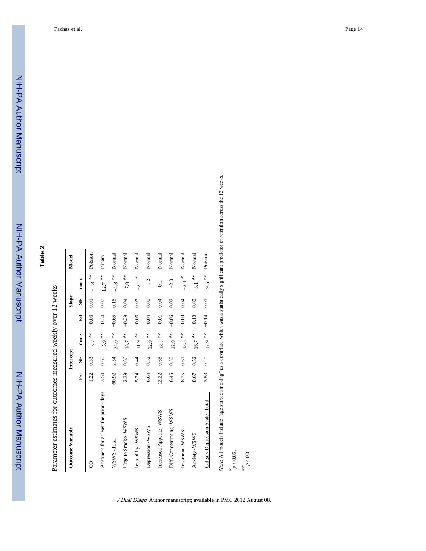**Table 2**

| יונטו בב ווט וא                                                                |
|--------------------------------------------------------------------------------|
| d                                                                              |
|                                                                                |
| hanna wan                                                                      |
| .<br>.<br>.                                                                    |
|                                                                                |
|                                                                                |
|                                                                                |
| Parameter estimates for outcomes measured weekly over I<br>)<br>1<br>י מתמחיני |

| Outcome Variable                       |         | Intercept |                          |         | Slope |            | Model   |
|----------------------------------------|---------|-----------|--------------------------|---------|-------|------------|---------|
|                                        | Est     | SE        | $t$ or $z$               | Est     | SE    | $t$ or $z$ |         |
| 8                                      | 1.22    | 0.33      | $3.7$ **                 | $-0.03$ | 0.01  | $-2.8$ **  | Poisson |
| Abstinent for at least the prior7 days | $-3.54$ | 0.60      | $-5.9$ **                | 0.34    | 0.03  | $12.7$ **  | Binary  |
| WSWS-Total                             | 60.92   | 2.54      | $24.0$ **                | $-0.65$ | 0.15  | $-4.3$ **  | Normal  |
| Urge to Smoke-WSWS                     | 12.39   | 0.66      | $18.7$ $^{\ast\ast}$     | $-0.29$ | 0.04  | $-7.0$ **  | Normal  |
| Irritability -WSWS                     | 5.24    | 0.44      | $11.9***$                | $-0.06$ | 0.03  | $-2.1$ *   | Normal  |
| Depression - WSWS                      | 6.64    | 0.52      | $12.9***$                | $-0.04$ | 0.03  | $-1.2$     | Normal  |
| Increased Appetite -WSWS               | 12.22   | 0.65      | $18.7$ $^{\ast\ast}$     | 0.01    | 0.04  | 0.2        | Normal  |
| Diff. Concentrating -WSWS              | 6.45    | 0.50      | $12.9***$                | $-0.06$ | 0.03  | $-2.0$     | Normal  |
| Insomnia - WSWS                        | 8.25    | 0.61      | $13.5***$                | $-0.09$ | 0.04  | $-2.4$ *   | Normal  |
| Anxiety -WSWS                          | 8.67    | 0.52      | $16.7$ $\overset{***}{}$ | $-0.10$ | 0.03  | $-3.1$ **  | Normal  |
| Calgary Depression Scale -Total        | 3.53    | 0.20      | 17.9 **                  | $-0.14$ | 0.01  | $-9.5$ **  | Poisson |

 $p < 0.05$ ,<br>\*\*  $p < 0.01$